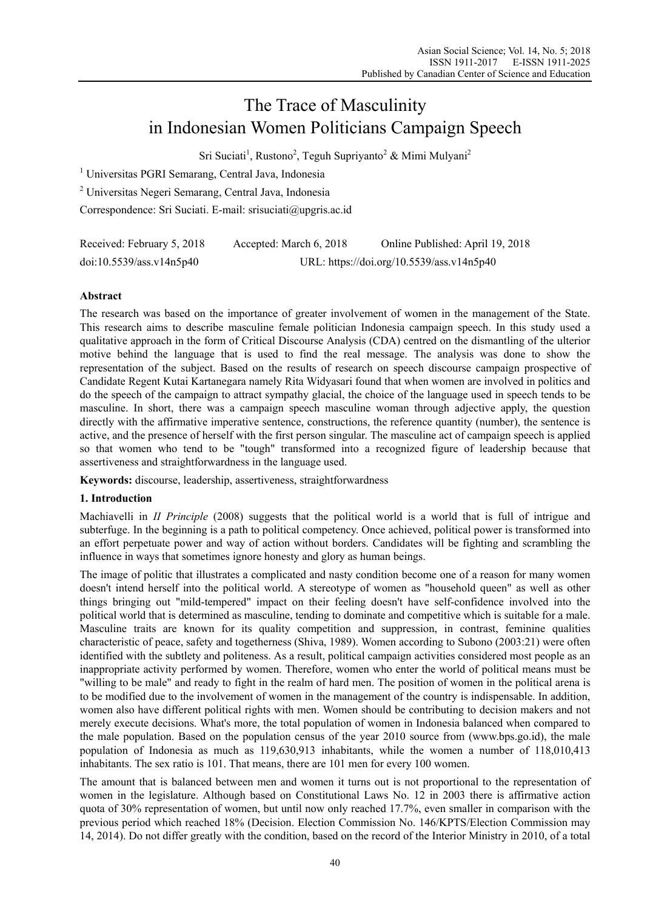# The Trace of Masculinity in Indonesian Women Politicians Campaign Speech

Sri Suciati<sup>1</sup>, Rustono<sup>2</sup>, Teguh Supriyanto<sup>2</sup> & Mimi Mulyani<sup>2</sup>

<sup>1</sup> Universitas PGRI Semarang, Central Java, Indonesia

2 Universitas Negeri Semarang, Central Java, Indonesia

Correspondence: Sri Suciati. E-mail: srisuciati@upgris.ac.id

| Received: February 5, 2018 | Accepted: March 6, 2018                   | Online Published: April 19, 2018 |
|----------------------------|-------------------------------------------|----------------------------------|
| doi:10.5539/ass.v14n5p40   | URL: https://doi.org/10.5539/ass.v14n5p40 |                                  |

# **Abstract**

The research was based on the importance of greater involvement of women in the management of the State. This research aims to describe masculine female politician Indonesia campaign speech. In this study used a qualitative approach in the form of Critical Discourse Analysis (CDA) centred on the dismantling of the ulterior motive behind the language that is used to find the real message. The analysis was done to show the representation of the subject. Based on the results of research on speech discourse campaign prospective of Candidate Regent Kutai Kartanegara namely Rita Widyasari found that when women are involved in politics and do the speech of the campaign to attract sympathy glacial, the choice of the language used in speech tends to be masculine. In short, there was a campaign speech masculine woman through adjective apply, the question directly with the affirmative imperative sentence, constructions, the reference quantity (number), the sentence is active, and the presence of herself with the first person singular. The masculine act of campaign speech is applied so that women who tend to be "tough" transformed into a recognized figure of leadership because that assertiveness and straightforwardness in the language used.

**Keywords:** discourse, leadership, assertiveness, straightforwardness

# **1. Introduction**

Machiavelli in *II Principle* (2008) suggests that the political world is a world that is full of intrigue and subterfuge. In the beginning is a path to political competency. Once achieved, political power is transformed into an effort perpetuate power and way of action without borders. Candidates will be fighting and scrambling the influence in ways that sometimes ignore honesty and glory as human beings.

The image of politic that illustrates a complicated and nasty condition become one of a reason for many women doesn't intend herself into the political world. A stereotype of women as "household queen" as well as other things bringing out "mild-tempered" impact on their feeling doesn't have self-confidence involved into the political world that is determined as masculine, tending to dominate and competitive which is suitable for a male. Masculine traits are known for its quality competition and suppression, in contrast, feminine qualities characteristic of peace, safety and togetherness (Shiva, 1989). Women according to Subono (2003:21) were often identified with the subtlety and politeness. As a result, political campaign activities considered most people as an inappropriate activity performed by women. Therefore, women who enter the world of political means must be "willing to be male" and ready to fight in the realm of hard men. The position of women in the political arena is to be modified due to the involvement of women in the management of the country is indispensable. In addition, women also have different political rights with men. Women should be contributing to decision makers and not merely execute decisions. What's more, the total population of women in Indonesia balanced when compared to the male population. Based on the population census of the year 2010 source from (www.bps.go.id), the male population of Indonesia as much as 119,630,913 inhabitants, while the women a number of 118,010,413 inhabitants. The sex ratio is 101. That means, there are 101 men for every 100 women.

The amount that is balanced between men and women it turns out is not proportional to the representation of women in the legislature. Although based on Constitutional Laws No. 12 in 2003 there is affirmative action quota of 30% representation of women, but until now only reached 17.7%, even smaller in comparison with the previous period which reached 18% (Decision. Election Commission No. 146/KPTS/Election Commission may 14, 2014). Do not differ greatly with the condition, based on the record of the Interior Ministry in 2010, of a total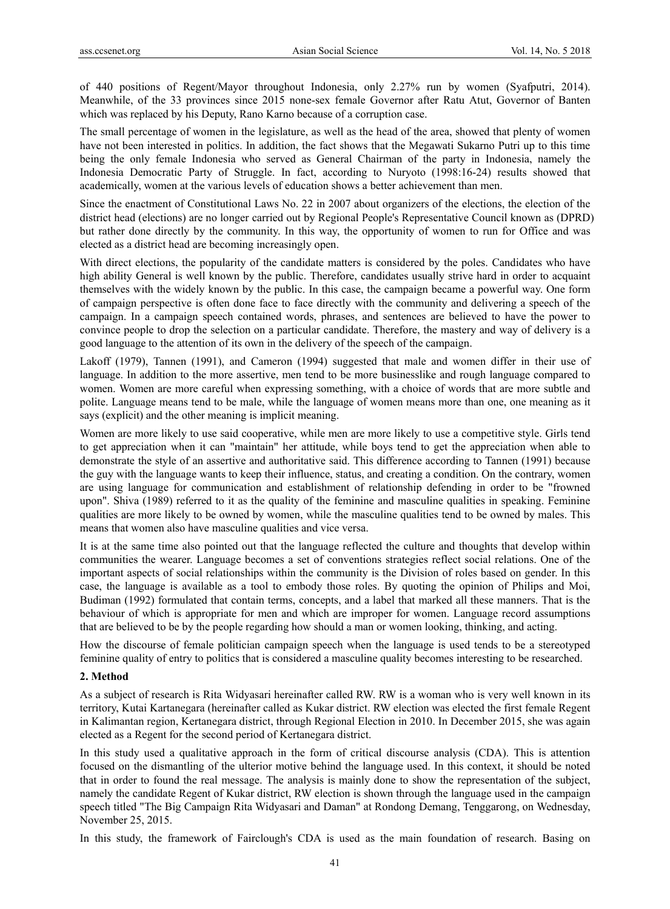of 440 positions of Regent/Mayor throughout Indonesia, only 2.27% run by women (Syafputri, 2014). Meanwhile, of the 33 provinces since 2015 none-sex female Governor after Ratu Atut, Governor of Banten which was replaced by his Deputy, Rano Karno because of a corruption case.

The small percentage of women in the legislature, as well as the head of the area, showed that plenty of women have not been interested in politics. In addition, the fact shows that the Megawati Sukarno Putri up to this time being the only female Indonesia who served as General Chairman of the party in Indonesia, namely the Indonesia Democratic Party of Struggle. In fact, according to Nuryoto (1998:16-24) results showed that academically, women at the various levels of education shows a better achievement than men.

Since the enactment of Constitutional Laws No. 22 in 2007 about organizers of the elections, the election of the district head (elections) are no longer carried out by Regional People's Representative Council known as (DPRD) but rather done directly by the community. In this way, the opportunity of women to run for Office and was elected as a district head are becoming increasingly open.

With direct elections, the popularity of the candidate matters is considered by the poles. Candidates who have high ability General is well known by the public. Therefore, candidates usually strive hard in order to acquaint themselves with the widely known by the public. In this case, the campaign became a powerful way. One form of campaign perspective is often done face to face directly with the community and delivering a speech of the campaign. In a campaign speech contained words, phrases, and sentences are believed to have the power to convince people to drop the selection on a particular candidate. Therefore, the mastery and way of delivery is a good language to the attention of its own in the delivery of the speech of the campaign.

Lakoff (1979), Tannen (1991), and Cameron (1994) suggested that male and women differ in their use of language. In addition to the more assertive, men tend to be more businesslike and rough language compared to women. Women are more careful when expressing something, with a choice of words that are more subtle and polite. Language means tend to be male, while the language of women means more than one, one meaning as it says (explicit) and the other meaning is implicit meaning.

Women are more likely to use said cooperative, while men are more likely to use a competitive style. Girls tend to get appreciation when it can "maintain" her attitude, while boys tend to get the appreciation when able to demonstrate the style of an assertive and authoritative said. This difference according to Tannen (1991) because the guy with the language wants to keep their influence, status, and creating a condition. On the contrary, women are using language for communication and establishment of relationship defending in order to be "frowned upon". Shiva (1989) referred to it as the quality of the feminine and masculine qualities in speaking. Feminine qualities are more likely to be owned by women, while the masculine qualities tend to be owned by males. This means that women also have masculine qualities and vice versa.

It is at the same time also pointed out that the language reflected the culture and thoughts that develop within communities the wearer. Language becomes a set of conventions strategies reflect social relations. One of the important aspects of social relationships within the community is the Division of roles based on gender. In this case, the language is available as a tool to embody those roles. By quoting the opinion of Philips and Moi, Budiman (1992) formulated that contain terms, concepts, and a label that marked all these manners. That is the behaviour of which is appropriate for men and which are improper for women. Language record assumptions that are believed to be by the people regarding how should a man or women looking, thinking, and acting.

How the discourse of female politician campaign speech when the language is used tends to be a stereotyped feminine quality of entry to politics that is considered a masculine quality becomes interesting to be researched.

## **2. Method**

As a subject of research is Rita Widyasari hereinafter called RW. RW is a woman who is very well known in its territory, Kutai Kartanegara (hereinafter called as Kukar district. RW election was elected the first female Regent in Kalimantan region, Kertanegara district, through Regional Election in 2010. In December 2015, she was again elected as a Regent for the second period of Kertanegara district.

In this study used a qualitative approach in the form of critical discourse analysis (CDA). This is attention focused on the dismantling of the ulterior motive behind the language used. In this context, it should be noted that in order to found the real message. The analysis is mainly done to show the representation of the subject, namely the candidate Regent of Kukar district, RW election is shown through the language used in the campaign speech titled "The Big Campaign Rita Widyasari and Daman" at Rondong Demang, Tenggarong, on Wednesday, November 25, 2015.

In this study, the framework of Fairclough's CDA is used as the main foundation of research. Basing on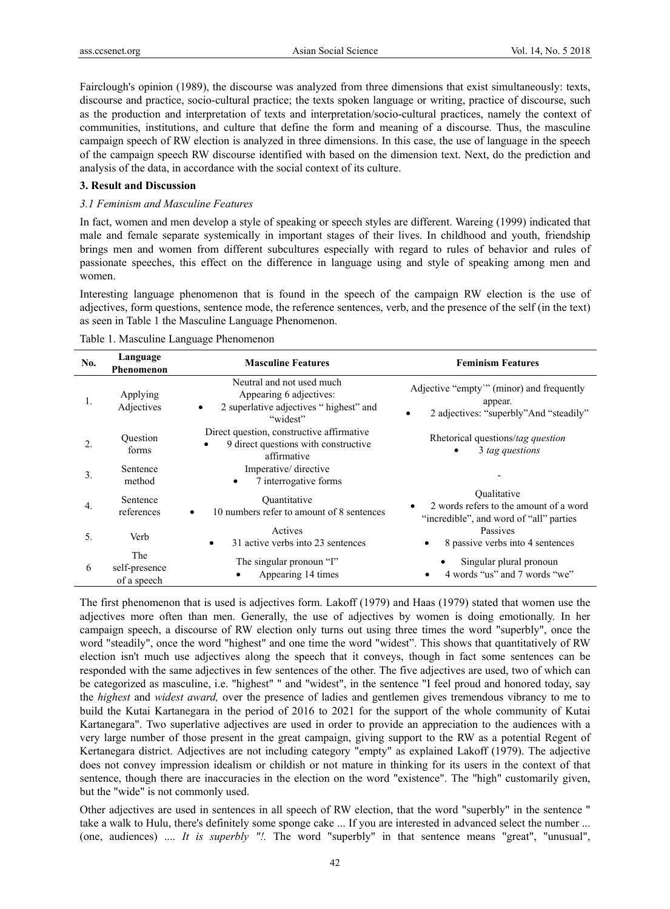Fairclough's opinion (1989), the discourse was analyzed from three dimensions that exist simultaneously: texts, discourse and practice, socio-cultural practice; the texts spoken language or writing, practice of discourse, such as the production and interpretation of texts and interpretation/socio-cultural practices, namely the context of communities, institutions, and culture that define the form and meaning of a discourse. Thus, the masculine campaign speech of RW election is analyzed in three dimensions. In this case, the use of language in the speech of the campaign speech RW discourse identified with based on the dimension text. Next, do the prediction and analysis of the data, in accordance with the social context of its culture.

#### **3. Result and Discussion**

#### *3.1 Feminism and Masculine Features*

In fact, women and men develop a style of speaking or speech styles are different. Wareing (1999) indicated that male and female separate systemically in important stages of their lives. In childhood and youth, friendship brings men and women from different subcultures especially with regard to rules of behavior and rules of passionate speeches, this effect on the difference in language using and style of speaking among men and women.

Interesting language phenomenon that is found in the speech of the campaign RW election is the use of adjectives, form questions, sentence mode, the reference sentences, verb, and the presence of the self (in the text) as seen in Table 1 the Masculine Language Phenomenon.

| No. | Language<br>Phenomenon              | <b>Masculine Features</b>                                                                                               | <b>Feminism Features</b>                                                                            |
|-----|-------------------------------------|-------------------------------------------------------------------------------------------------------------------------|-----------------------------------------------------------------------------------------------------|
| 1.  | Applying<br>Adjectives              | Neutral and not used much<br>Appearing 6 adjectives:<br>2 superlative adjectives "highest" and<br>$\bullet$<br>"widest" | Adjective "empty" (minor) and frequently<br>appear.<br>2 adjectives: "superbly" And "steadily"<br>٠ |
| 2.  | Question<br>forms                   | Direct question, constructive affirmative<br>9 direct questions with constructive<br>$\bullet$<br>affirmative           | Rhetorical questions/tag question<br>3 tag questions                                                |
| 3.  | Sentence<br>method                  | Imperative/directive<br>7 interrogative forms<br>$\bullet$                                                              |                                                                                                     |
| 4.  | Sentence<br>references              | Ouantitative<br>10 numbers refer to amount of 8 sentences<br>$\bullet$                                                  | Oualitative<br>2 words refers to the amount of a word<br>"incredible", and word of "all" parties    |
| 5.  | Verb                                | Actives<br>31 active verbs into 23 sentences<br>$\bullet$                                                               | Passives<br>8 passive verbs into 4 sentences                                                        |
| 6   | The<br>self-presence<br>of a speech | The singular pronoun "I"<br>Appearing 14 times                                                                          | Singular plural pronoun<br>4 words "us" and 7 words "we"                                            |

Table 1. Masculine Language Phenomenon

The first phenomenon that is used is adjectives form. Lakoff (1979) and Haas (1979) stated that women use the adjectives more often than men. Generally, the use of adjectives by women is doing emotionally. In her campaign speech, a discourse of RW election only turns out using three times the word "superbly", once the word "steadily", once the word "highest" and one time the word "widest". This shows that quantitatively of RW election isn't much use adjectives along the speech that it conveys, though in fact some sentences can be responded with the same adjectives in few sentences of the other. The five adjectives are used, two of which can be categorized as masculine, i.e. "highest" " and "widest", in the sentence "I feel proud and honored today, say the *highest* and *widest award,* over the presence of ladies and gentlemen gives tremendous vibrancy to me to build the Kutai Kartanegara in the period of 2016 to 2021 for the support of the whole community of Kutai Kartanegara". Two superlative adjectives are used in order to provide an appreciation to the audiences with a very large number of those present in the great campaign, giving support to the RW as a potential Regent of Kertanegara district. Adjectives are not including category "empty" as explained Lakoff (1979). The adjective does not convey impression idealism or childish or not mature in thinking for its users in the context of that sentence, though there are inaccuracies in the election on the word "existence". The "high" customarily given, but the "wide" is not commonly used.

Other adjectives are used in sentences in all speech of RW election, that the word "superbly" in the sentence " take a walk to Hulu, there's definitely some sponge cake ... If you are interested in advanced select the number ... (one, audiences) .... *It is superbly "!.* The word "superbly" in that sentence means "great", "unusual",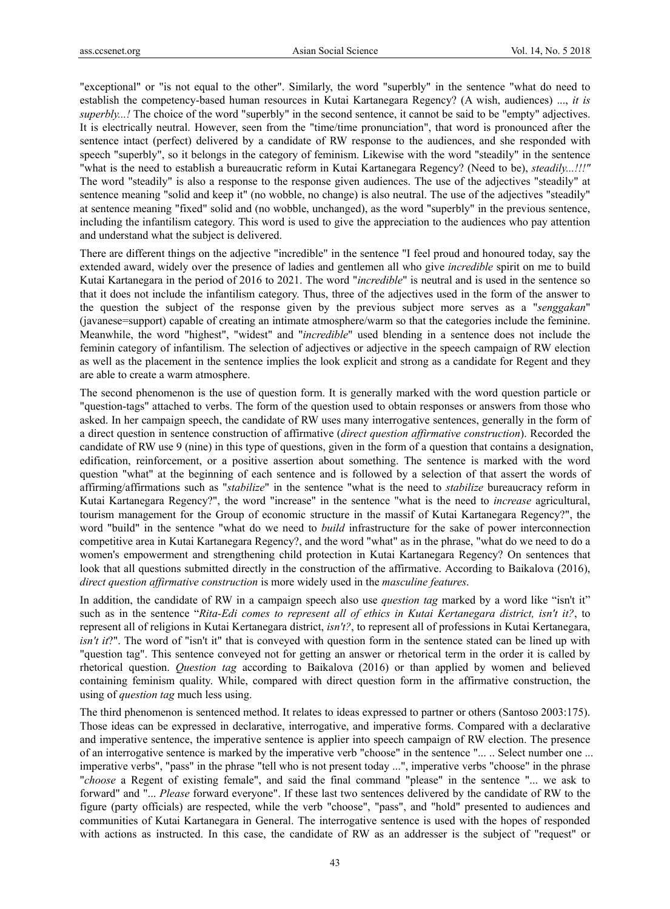"exceptional" or "is not equal to the other". Similarly, the word "superbly" in the sentence "what do need to establish the competency-based human resources in Kutai Kartanegara Regency? (A wish, audiences) ..., *it is superbly...!* The choice of the word "superbly" in the second sentence, it cannot be said to be "empty" adjectives. It is electrically neutral. However, seen from the "time/time pronunciation", that word is pronounced after the sentence intact (perfect) delivered by a candidate of RW response to the audiences, and she responded with speech "superbly", so it belongs in the category of feminism. Likewise with the word "steadily" in the sentence "what is the need to establish a bureaucratic reform in Kutai Kartanegara Regency? (Need to be), *steadily...!!!"* The word "steadily" is also a response to the response given audiences. The use of the adjectives "steadily" at sentence meaning "solid and keep it" (no wobble, no change) is also neutral. The use of the adjectives "steadily" at sentence meaning "fixed" solid and (no wobble, unchanged), as the word "superbly" in the previous sentence, including the infantilism category. This word is used to give the appreciation to the audiences who pay attention and understand what the subject is delivered.

There are different things on the adjective "incredible" in the sentence "I feel proud and honoured today, say the extended award, widely over the presence of ladies and gentlemen all who give *incredible* spirit on me to build Kutai Kartanegara in the period of 2016 to 2021. The word "*incredible*" is neutral and is used in the sentence so that it does not include the infantilism category. Thus, three of the adjectives used in the form of the answer to the question the subject of the response given by the previous subject more serves as a "*senggakan*" (javanese=support) capable of creating an intimate atmosphere/warm so that the categories include the feminine. Meanwhile, the word "highest", "widest" and "*incredible*" used blending in a sentence does not include the feminin category of infantilism. The selection of adjectives or adjective in the speech campaign of RW election as well as the placement in the sentence implies the look explicit and strong as a candidate for Regent and they are able to create a warm atmosphere.

The second phenomenon is the use of question form. It is generally marked with the word question particle or "question-tags" attached to verbs. The form of the question used to obtain responses or answers from those who asked. In her campaign speech, the candidate of RW uses many interrogative sentences, generally in the form of a direct question in sentence construction of affirmative (*direct question affirmative construction*). Recorded the candidate of RW use 9 (nine) in this type of questions, given in the form of a question that contains a designation, edification, reinforcement, or a positive assertion about something. The sentence is marked with the word question "what" at the beginning of each sentence and is followed by a selection of that assert the words of affirming/affirmations such as "*stabilize*" in the sentence "what is the need to *stabilize* bureaucracy reform in Kutai Kartanegara Regency?", the word "increase" in the sentence "what is the need to *increase* agricultural, tourism management for the Group of economic structure in the massif of Kutai Kartanegara Regency?", the word "build" in the sentence "what do we need to *build* infrastructure for the sake of power interconnection competitive area in Kutai Kartanegara Regency?, and the word "what" as in the phrase, "what do we need to do a women's empowerment and strengthening child protection in Kutai Kartanegara Regency? On sentences that look that all questions submitted directly in the construction of the affirmative. According to Baikalova (2016), *direct question affirmative construction* is more widely used in the *masculine features*.

In addition, the candidate of RW in a campaign speech also use *question tag* marked by a word like "isn't it" such as in the sentence "*Rita-Edi comes to represent all of ethics in Kutai Kertanegara district, isn't it?*, to represent all of religions in Kutai Kertanegara district, *isn't?*, to represent all of professions in Kutai Kertanegara, *isn't it*?". The word of "isn't it" that is conveyed with question form in the sentence stated can be lined up with "question tag". This sentence conveyed not for getting an answer or rhetorical term in the order it is called by rhetorical question. *Question tag* according to Baikalova (2016) or than applied by women and believed containing feminism quality. While, compared with direct question form in the affirmative construction, the using of *question tag* much less using.

The third phenomenon is sentenced method. It relates to ideas expressed to partner or others (Santoso 2003:175). Those ideas can be expressed in declarative, interrogative, and imperative forms. Compared with a declarative and imperative sentence, the imperative sentence is applier into speech campaign of RW election. The presence of an interrogative sentence is marked by the imperative verb "choose" in the sentence "... .. Select number one ... imperative verbs", "pass" in the phrase "tell who is not present today ...", imperative verbs "choose" in the phrase "*choose* a Regent of existing female", and said the final command "please" in the sentence "... we ask to forward" and "... *Please* forward everyone". If these last two sentences delivered by the candidate of RW to the figure (party officials) are respected, while the verb "choose", "pass", and "hold" presented to audiences and communities of Kutai Kartanegara in General. The interrogative sentence is used with the hopes of responded with actions as instructed. In this case, the candidate of RW as an addresser is the subject of "request" or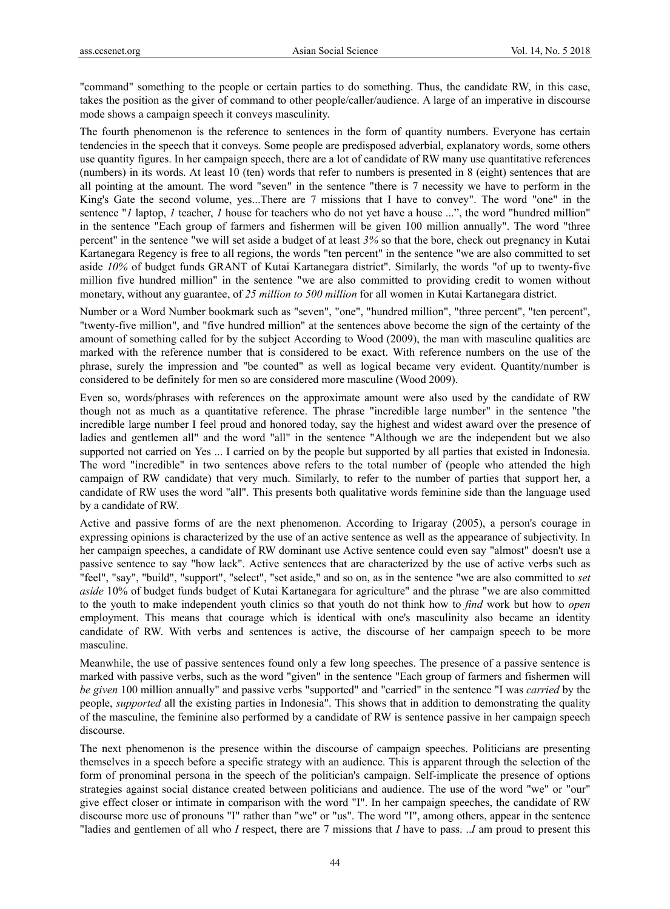"command" something to the people or certain parties to do something. Thus, the candidate RW, in this case, takes the position as the giver of command to other people/caller/audience. A large of an imperative in discourse mode shows a campaign speech it conveys masculinity.

The fourth phenomenon is the reference to sentences in the form of quantity numbers. Everyone has certain tendencies in the speech that it conveys. Some people are predisposed adverbial, explanatory words, some others use quantity figures. In her campaign speech, there are a lot of candidate of RW many use quantitative references (numbers) in its words. At least 10 (ten) words that refer to numbers is presented in 8 (eight) sentences that are all pointing at the amount. The word "seven" in the sentence "there is 7 necessity we have to perform in the King's Gate the second volume, yes...There are 7 missions that I have to convey". The word "one" in the sentence "*1* laptop, *1* teacher, *1* house for teachers who do not yet have a house ...", the word "hundred million" in the sentence "Each group of farmers and fishermen will be given 100 million annually". The word "three percent" in the sentence "we will set aside a budget of at least *3%* so that the bore, check out pregnancy in Kutai Kartanegara Regency is free to all regions, the words "ten percent" in the sentence "we are also committed to set aside *10%* of budget funds GRANT of Kutai Kartanegara district". Similarly, the words "of up to twenty-five million five hundred million" in the sentence "we are also committed to providing credit to women without monetary, without any guarantee, of *25 million to 500 million* for all women in Kutai Kartanegara district.

Number or a Word Number bookmark such as "seven", "one", "hundred million", "three percent", "ten percent", "twenty-five million", and "five hundred million" at the sentences above become the sign of the certainty of the amount of something called for by the subject According to Wood (2009), the man with masculine qualities are marked with the reference number that is considered to be exact. With reference numbers on the use of the phrase, surely the impression and "be counted" as well as logical became very evident. Quantity/number is considered to be definitely for men so are considered more masculine (Wood 2009).

Even so, words/phrases with references on the approximate amount were also used by the candidate of RW though not as much as a quantitative reference. The phrase "incredible large number" in the sentence "the incredible large number I feel proud and honored today, say the highest and widest award over the presence of ladies and gentlemen all" and the word "all" in the sentence "Although we are the independent but we also supported not carried on Yes ... I carried on by the people but supported by all parties that existed in Indonesia. The word "incredible" in two sentences above refers to the total number of (people who attended the high campaign of RW candidate) that very much. Similarly, to refer to the number of parties that support her, a candidate of RW uses the word "all". This presents both qualitative words feminine side than the language used by a candidate of RW.

Active and passive forms of are the next phenomenon. According to Irigaray (2005), a person's courage in expressing opinions is characterized by the use of an active sentence as well as the appearance of subjectivity. In her campaign speeches, a candidate of RW dominant use Active sentence could even say "almost" doesn't use a passive sentence to say "how lack". Active sentences that are characterized by the use of active verbs such as "feel", "say", "build", "support", "select", "set aside," and so on, as in the sentence "we are also committed to *set aside* 10% of budget funds budget of Kutai Kartanegara for agriculture" and the phrase "we are also committed to the youth to make independent youth clinics so that youth do not think how to *find* work but how to *open* employment. This means that courage which is identical with one's masculinity also became an identity candidate of RW. With verbs and sentences is active, the discourse of her campaign speech to be more masculine.

Meanwhile, the use of passive sentences found only a few long speeches. The presence of a passive sentence is marked with passive verbs, such as the word "given" in the sentence "Each group of farmers and fishermen will *be given* 100 million annually" and passive verbs "supported" and "carried" in the sentence "I was *carried* by the people, *supported* all the existing parties in Indonesia". This shows that in addition to demonstrating the quality of the masculine, the feminine also performed by a candidate of RW is sentence passive in her campaign speech discourse.

The next phenomenon is the presence within the discourse of campaign speeches. Politicians are presenting themselves in a speech before a specific strategy with an audience. This is apparent through the selection of the form of pronominal persona in the speech of the politician's campaign. Self-implicate the presence of options strategies against social distance created between politicians and audience. The use of the word "we" or "our" give effect closer or intimate in comparison with the word "I". In her campaign speeches, the candidate of RW discourse more use of pronouns "I" rather than "we" or "us". The word "I", among others, appear in the sentence "ladies and gentlemen of all who *I* respect, there are 7 missions that *I* have to pass. ..*I* am proud to present this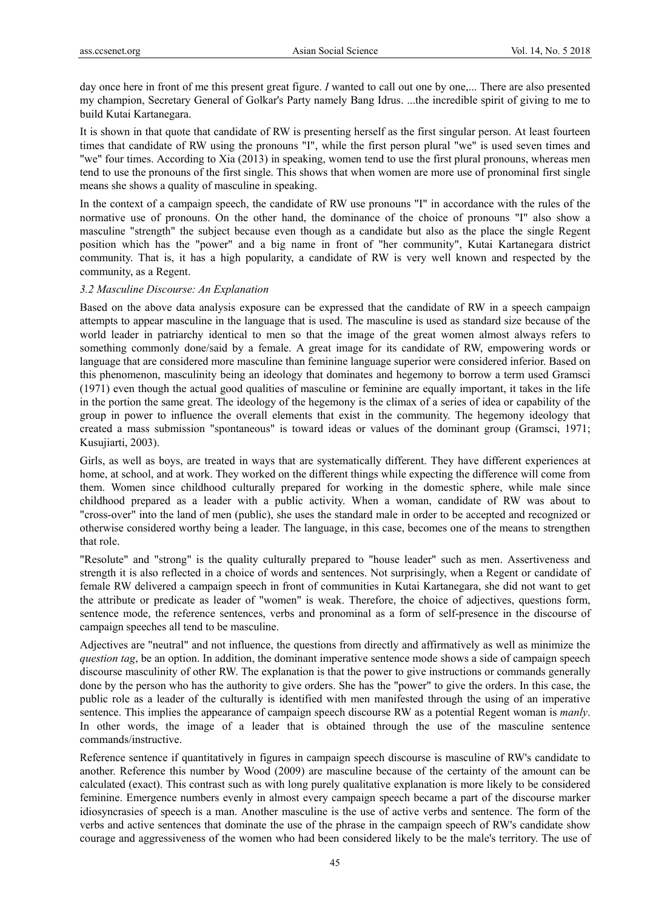day once here in front of me this present great figure. *I* wanted to call out one by one,... There are also presented my champion, Secretary General of Golkar's Party namely Bang Idrus. ...the incredible spirit of giving to me to build Kutai Kartanegara.

It is shown in that quote that candidate of RW is presenting herself as the first singular person. At least fourteen times that candidate of RW using the pronouns "I", while the first person plural "we" is used seven times and "we" four times. According to Xia (2013) in speaking, women tend to use the first plural pronouns, whereas men tend to use the pronouns of the first single. This shows that when women are more use of pronominal first single means she shows a quality of masculine in speaking.

In the context of a campaign speech, the candidate of RW use pronouns "I" in accordance with the rules of the normative use of pronouns. On the other hand, the dominance of the choice of pronouns "I" also show a masculine "strength" the subject because even though as a candidate but also as the place the single Regent position which has the "power" and a big name in front of "her community", Kutai Kartanegara district community. That is, it has a high popularity, a candidate of RW is very well known and respected by the community, as a Regent.

#### *3.2 Masculine Discourse: An Explanation*

Based on the above data analysis exposure can be expressed that the candidate of RW in a speech campaign attempts to appear masculine in the language that is used. The masculine is used as standard size because of the world leader in patriarchy identical to men so that the image of the great women almost always refers to something commonly done/said by a female. A great image for its candidate of RW, empowering words or language that are considered more masculine than feminine language superior were considered inferior. Based on this phenomenon, masculinity being an ideology that dominates and hegemony to borrow a term used Gramsci (1971) even though the actual good qualities of masculine or feminine are equally important, it takes in the life in the portion the same great. The ideology of the hegemony is the climax of a series of idea or capability of the group in power to influence the overall elements that exist in the community. The hegemony ideology that created a mass submission "spontaneous" is toward ideas or values of the dominant group (Gramsci, 1971; Kusujiarti, 2003).

Girls, as well as boys, are treated in ways that are systematically different. They have different experiences at home, at school, and at work. They worked on the different things while expecting the difference will come from them. Women since childhood culturally prepared for working in the domestic sphere, while male since childhood prepared as a leader with a public activity. When a woman, candidate of RW was about to "cross-over" into the land of men (public), she uses the standard male in order to be accepted and recognized or otherwise considered worthy being a leader. The language, in this case, becomes one of the means to strengthen that role.

"Resolute" and "strong" is the quality culturally prepared to "house leader" such as men. Assertiveness and strength it is also reflected in a choice of words and sentences. Not surprisingly, when a Regent or candidate of female RW delivered a campaign speech in front of communities in Kutai Kartanegara, she did not want to get the attribute or predicate as leader of "women" is weak. Therefore, the choice of adjectives, questions form, sentence mode, the reference sentences, verbs and pronominal as a form of self-presence in the discourse of campaign speeches all tend to be masculine.

Adjectives are "neutral" and not influence, the questions from directly and affirmatively as well as minimize the *question tag*, be an option. In addition, the dominant imperative sentence mode shows a side of campaign speech discourse masculinity of other RW. The explanation is that the power to give instructions or commands generally done by the person who has the authority to give orders. She has the "power" to give the orders. In this case, the public role as a leader of the culturally is identified with men manifested through the using of an imperative sentence. This implies the appearance of campaign speech discourse RW as a potential Regent woman is *manly*. In other words, the image of a leader that is obtained through the use of the masculine sentence commands/instructive.

Reference sentence if quantitatively in figures in campaign speech discourse is masculine of RW's candidate to another. Reference this number by Wood (2009) are masculine because of the certainty of the amount can be calculated (exact). This contrast such as with long purely qualitative explanation is more likely to be considered feminine. Emergence numbers evenly in almost every campaign speech became a part of the discourse marker idiosyncrasies of speech is a man. Another masculine is the use of active verbs and sentence. The form of the verbs and active sentences that dominate the use of the phrase in the campaign speech of RW's candidate show courage and aggressiveness of the women who had been considered likely to be the male's territory. The use of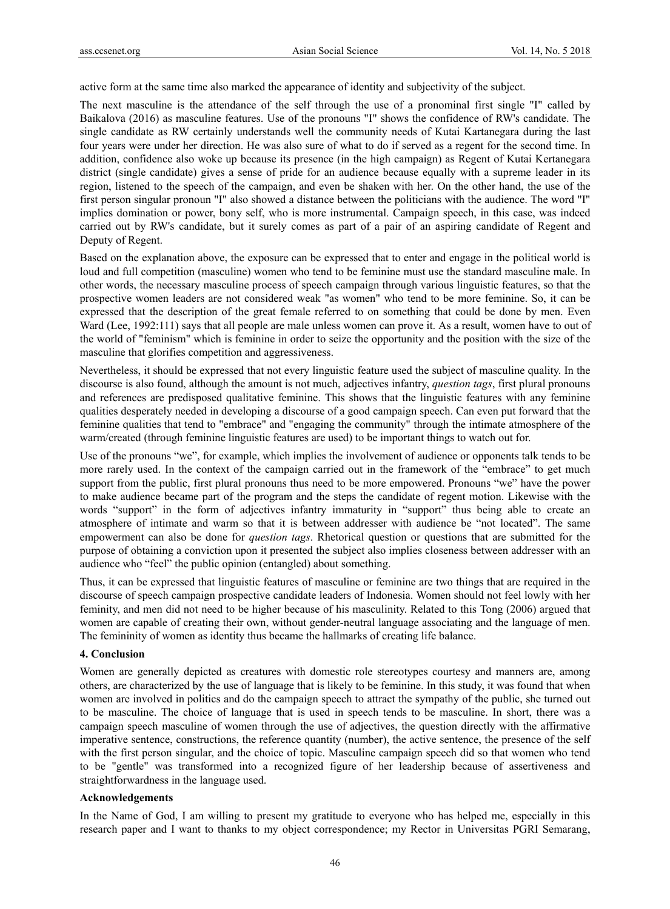active form at the same time also marked the appearance of identity and subjectivity of the subject.

The next masculine is the attendance of the self through the use of a pronominal first single "I" called by Baikalova (2016) as masculine features. Use of the pronouns "I" shows the confidence of RW's candidate. The single candidate as RW certainly understands well the community needs of Kutai Kartanegara during the last four years were under her direction. He was also sure of what to do if served as a regent for the second time. In addition, confidence also woke up because its presence (in the high campaign) as Regent of Kutai Kertanegara district (single candidate) gives a sense of pride for an audience because equally with a supreme leader in its region, listened to the speech of the campaign, and even be shaken with her. On the other hand, the use of the first person singular pronoun "I" also showed a distance between the politicians with the audience. The word "I" implies domination or power, bony self, who is more instrumental. Campaign speech, in this case, was indeed carried out by RW's candidate, but it surely comes as part of a pair of an aspiring candidate of Regent and Deputy of Regent.

Based on the explanation above, the exposure can be expressed that to enter and engage in the political world is loud and full competition (masculine) women who tend to be feminine must use the standard masculine male. In other words, the necessary masculine process of speech campaign through various linguistic features, so that the prospective women leaders are not considered weak "as women" who tend to be more feminine. So, it can be expressed that the description of the great female referred to on something that could be done by men. Even Ward (Lee, 1992:111) says that all people are male unless women can prove it. As a result, women have to out of the world of "feminism" which is feminine in order to seize the opportunity and the position with the size of the masculine that glorifies competition and aggressiveness.

Nevertheless, it should be expressed that not every linguistic feature used the subject of masculine quality. In the discourse is also found, although the amount is not much, adjectives infantry, *question tags*, first plural pronouns and references are predisposed qualitative feminine. This shows that the linguistic features with any feminine qualities desperately needed in developing a discourse of a good campaign speech. Can even put forward that the feminine qualities that tend to "embrace" and "engaging the community" through the intimate atmosphere of the warm/created (through feminine linguistic features are used) to be important things to watch out for.

Use of the pronouns "we", for example, which implies the involvement of audience or opponents talk tends to be more rarely used. In the context of the campaign carried out in the framework of the "embrace" to get much support from the public, first plural pronouns thus need to be more empowered. Pronouns "we" have the power to make audience became part of the program and the steps the candidate of regent motion. Likewise with the words "support" in the form of adjectives infantry immaturity in "support" thus being able to create an atmosphere of intimate and warm so that it is between addresser with audience be "not located". The same empowerment can also be done for *question tags*. Rhetorical question or questions that are submitted for the purpose of obtaining a conviction upon it presented the subject also implies closeness between addresser with an audience who "feel" the public opinion (entangled) about something.

Thus, it can be expressed that linguistic features of masculine or feminine are two things that are required in the discourse of speech campaign prospective candidate leaders of Indonesia. Women should not feel lowly with her feminity, and men did not need to be higher because of his masculinity. Related to this Tong (2006) argued that women are capable of creating their own, without gender-neutral language associating and the language of men. The femininity of women as identity thus became the hallmarks of creating life balance.

### **4. Conclusion**

Women are generally depicted as creatures with domestic role stereotypes courtesy and manners are, among others, are characterized by the use of language that is likely to be feminine. In this study, it was found that when women are involved in politics and do the campaign speech to attract the sympathy of the public, she turned out to be masculine. The choice of language that is used in speech tends to be masculine. In short, there was a campaign speech masculine of women through the use of adjectives, the question directly with the affirmative imperative sentence, constructions, the reference quantity (number), the active sentence, the presence of the self with the first person singular, and the choice of topic. Masculine campaign speech did so that women who tend to be "gentle" was transformed into a recognized figure of her leadership because of assertiveness and straightforwardness in the language used.

## **Acknowledgements**

In the Name of God, I am willing to present my gratitude to everyone who has helped me, especially in this research paper and I want to thanks to my object correspondence; my Rector in Universitas PGRI Semarang,